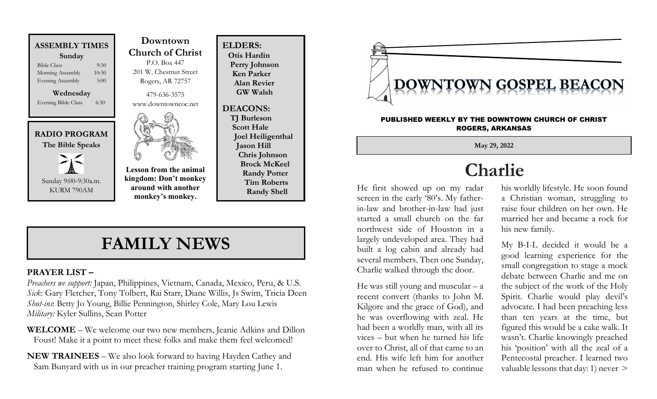

Evening Bible Class 6:30



KURM 790AM

 Downtown Church of Christ P.O. Box 447 201 W. Chestnut Street Rogers, AR 72757

479-636-3575 www.downtowncoc.net



Lesson from the animal kingdom: Don't monkey around with another monkey's monkey.

ELDERS: Otis Hardin Perry Johnson Ken Parker Alan Revier GW Walsh

DEACONS: TJ Burleson Scott Hale Joel Heiligenthal Jason Hill Chris Johnson Brock McKeel Randy Potter Tim Roberts Randy Shell

### FAMILY NEWS

#### PRAYER LIST –

Preachers we support: Japan, Philippines, Vietnam, Canada, Mexico, Peru, & U.S. Sick: Gary Fletcher, Tony Tolbert, Rai Starr, Diane Willis, Js Swim, Tricia Deen Shut-ins: Betty Jo Young, Billie Pennington, Shirley Cole, Mary Lou Lewis Military: Kyler Sullins, Sean Potter

WELCOME – We welcome our two new members, Jeanie Adkins and Dillon Foust! Make it a point to meet these folks and make them feel welcomed!

NEW TRAINEES – We also look forward to having Hayden Cathey and Sam Bunyard with us in our preacher training program starting June 1.



#### PUBLISHED WEEKLY BY THE DOWNTOWN CHURCH OF CHRIST ROGERS, ARKANSAS

May 29, 2022

# Charlie

He first showed up on my radar screen in the early '80's. My fatherin-law and brother-in-law had just started a small church on the far northwest side of Houston in a largely undeveloped area. They had built a log cabin and already had several members. Then one Sunday, Charlie walked through the door.

He was still young and muscular  $- a$ recent convert (thanks to John M. Kilgore and the grace of God), and he was overflowing with zeal. He had been a worldly man, with all its vices – but when he turned his life over to Christ, all of that came to an end. His wife left him for another man when he refused to continue

his worldly lifestyle. He soon found a Christian woman, struggling to raise four children on her own. He married her and became a rock for his new family.

My B-I-L decided it would be a good learning experience for the small congregation to stage a mock debate between Charlie and me on the subject of the work of the Holy Spirit. Charlie would play devil's advocate. I had been preaching less than ten years at the time, but figured this would be a cake walk. It wasn't. Charlie knowingly preached his 'position' with all the zeal of a Pentecostal preacher. I learned two valuable lessons that day: 1) never >